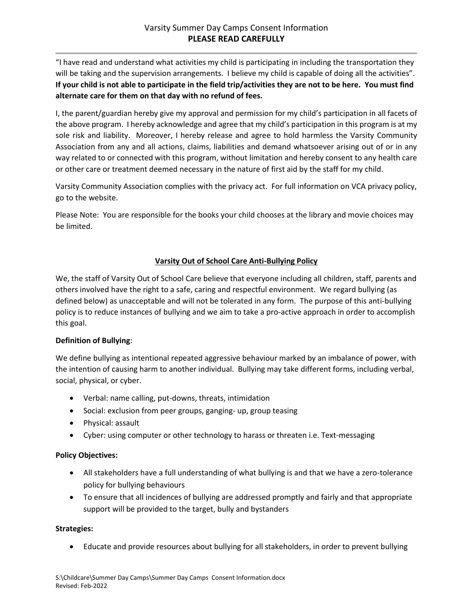"I have read and understand what activities my child is participating in including the transportation they will be taking and the supervision arrangements. I believe my child is capable of doing all the activities". **If your child is not able to participate in the field trip/activities they are not to be here. You must find alternate care for them on that day with no refund of fees.**

I, the parent/guardian hereby give my approval and permission for my child's participation in all facets of the above program. I hereby acknowledge and agree that my child's participation in this program is at my sole risk and liability. Moreover, I hereby release and agree to hold harmless the Varsity Community Association from any and all actions, claims, liabilities and demand whatsoever arising out of or in any way related to or connected with this program, without limitation and hereby consent to any health care or other care or treatment deemed necessary in the nature of first aid by the staff for my child.

Varsity Community Association complies with the privacy act. For full information on VCA privacy policy, go to the website.

Please Note: You are responsible for the books your child chooses at the library and movie choices may be limited.

# **Varsity Out of School Care Anti-Bullying Policy**

We, the staff of Varsity Out of School Care believe that everyone including all children, staff, parents and others involved have the right to a safe, caring and respectful environment. We regard bullying (as defined below) as unacceptable and will not be tolerated in any form. The purpose of this anti-bullying policy is to reduce instances of bullying and we aim to take a pro-active approach in order to accomplish this goal.

# **Definition of Bullying**:

We define bullying as intentional repeated aggressive behaviour marked by an imbalance of power, with the intention of causing harm to another individual. Bullying may take different forms, including verbal, social, physical, or cyber.

- Verbal: name calling, put-downs, threats, intimidation
- Social: exclusion from peer groups, ganging- up, group teasing
- Physical: assault
- Cyber: using computer or other technology to harass or threaten i.e. Text-messaging

# **Policy Objectives:**

- All stakeholders have a full understanding of what bullying is and that we have a zero-tolerance policy for bullying behaviours
- To ensure that all incidences of bullying are addressed promptly and fairly and that appropriate support will be provided to the target, bully and bystanders

# **Strategies:**

Educate and provide resources about bullying for all stakeholders, in order to prevent bullying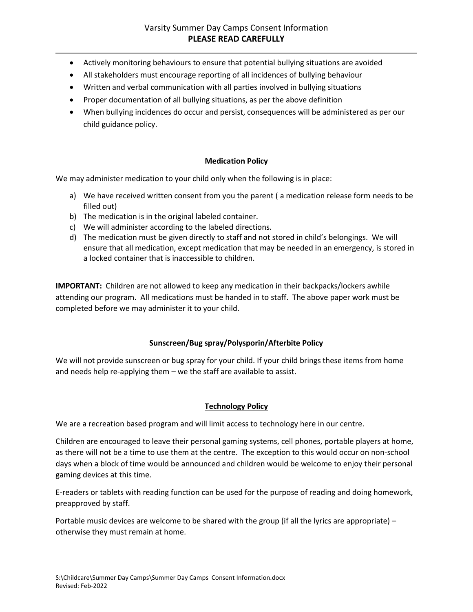- Actively monitoring behaviours to ensure that potential bullying situations are avoided
- All stakeholders must encourage reporting of all incidences of bullying behaviour
- Written and verbal communication with all parties involved in bullying situations
- Proper documentation of all bullying situations, as per the above definition
- When bullying incidences do occur and persist, consequences will be administered as per our child guidance policy.

## **Medication Policy**

We may administer medication to your child only when the following is in place:

- a) We have received written consent from you the parent ( a medication release form needs to be filled out)
- b) The medication is in the original labeled container.
- c) We will administer according to the labeled directions.
- d) The medication must be given directly to staff and not stored in child's belongings. We will ensure that all medication, except medication that may be needed in an emergency, is stored in a locked container that is inaccessible to children.

**IMPORTANT:** Children are not allowed to keep any medication in their backpacks/lockers awhile attending our program. All medications must be handed in to staff. The above paper work must be completed before we may administer it to your child.

### **Sunscreen/Bug spray/Polysporin/Afterbite Policy**

We will not provide sunscreen or bug spray for your child. If your child brings these items from home and needs help re-applying them – we the staff are available to assist.

### **Technology Policy**

We are a recreation based program and will limit access to technology here in our centre.

Children are encouraged to leave their personal gaming systems, cell phones, portable players at home, as there will not be a time to use them at the centre. The exception to this would occur on non-school days when a block of time would be announced and children would be welcome to enjoy their personal gaming devices at this time.

E-readers or tablets with reading function can be used for the purpose of reading and doing homework, preapproved by staff.

Portable music devices are welcome to be shared with the group (if all the lyrics are appropriate) – otherwise they must remain at home.